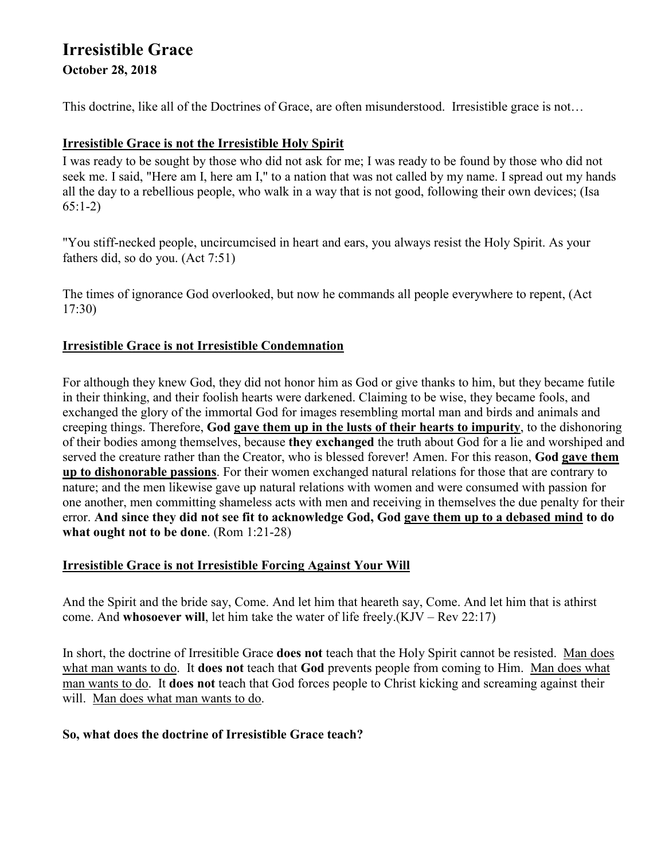# **Irresistible Grace**

### **October 28, 2018**

This doctrine, like all of the Doctrines of Grace, are often misunderstood. Irresistible grace is not…

## **Irresistible Grace is not the Irresistible Holy Spirit**

I was ready to be sought by those who did not ask for me; I was ready to be found by those who did not seek me. I said, "Here am I, here am I," to a nation that was not called by my name. I spread out my hands all the day to a rebellious people, who walk in a way that is not good, following their own devices; (Isa 65:1-2)

"You stiff-necked people, uncircumcised in heart and ears, you always resist the Holy Spirit. As your fathers did, so do you. (Act 7:51)

The times of ignorance God overlooked, but now he commands all people everywhere to repent, (Act 17:30)

### **Irresistible Grace is not Irresistible Condemnation**

For although they knew God, they did not honor him as God or give thanks to him, but they became futile in their thinking, and their foolish hearts were darkened. Claiming to be wise, they became fools, and exchanged the glory of the immortal God for images resembling mortal man and birds and animals and creeping things. Therefore, **God gave them up in the lusts of their hearts to impurity**, to the dishonoring of their bodies among themselves, because **they exchanged** the truth about God for a lie and worshiped and served the creature rather than the Creator, who is blessed forever! Amen. For this reason, **God gave them up to dishonorable passions**. For their women exchanged natural relations for those that are contrary to nature; and the men likewise gave up natural relations with women and were consumed with passion for one another, men committing shameless acts with men and receiving in themselves the due penalty for their error. **And since they did not see fit to acknowledge God, God gave them up to a debased mind to do what ought not to be done**. (Rom 1:21-28)

#### **Irresistible Grace is not Irresistible Forcing Against Your Will**

And the Spirit and the bride say, Come. And let him that heareth say, Come. And let him that is athirst come. And **whosoever will**, let him take the water of life freely.(KJV – Rev 22:17)

In short, the doctrine of Irresitible Grace **does not** teach that the Holy Spirit cannot be resisted. Man does what man wants to do. It **does not** teach that **God** prevents people from coming to Him. Man does what man wants to do. It **does not** teach that God forces people to Christ kicking and screaming against their will. Man does what man wants to do.

#### **So, what does the doctrine of Irresistible Grace teach?**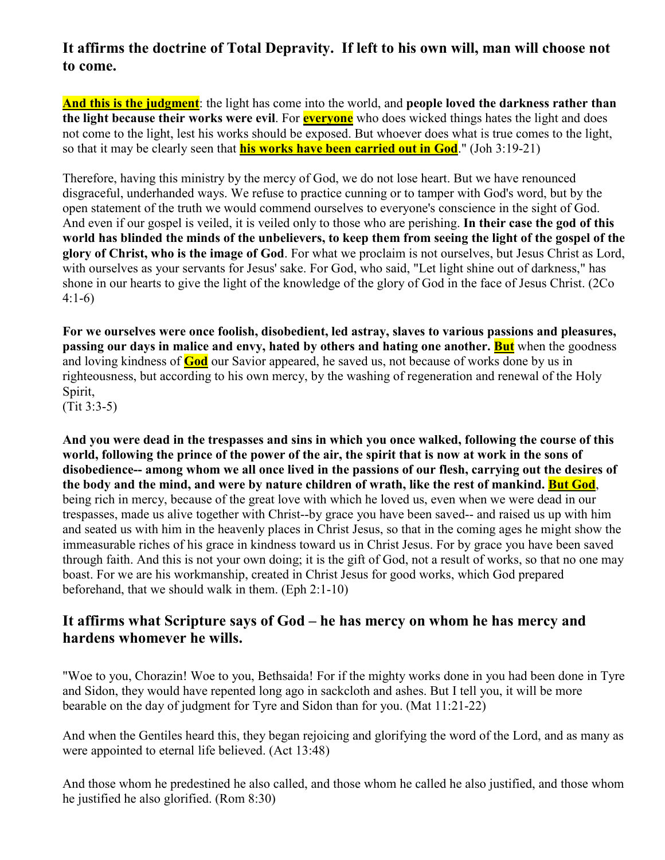**It affirms the doctrine of Total Depravity. If left to his own will, man will choose not to come.** 

**And this is the judgment**: the light has come into the world, and **people loved the darkness rather than the light because their works were evil**. For **everyone** who does wicked things hates the light and does not come to the light, lest his works should be exposed. But whoever does what is true comes to the light, so that it may be clearly seen that **his works have been carried out in God**." (Joh 3:19-21)

Therefore, having this ministry by the mercy of God, we do not lose heart. But we have renounced disgraceful, underhanded ways. We refuse to practice cunning or to tamper with God's word, but by the open statement of the truth we would commend ourselves to everyone's conscience in the sight of God. And even if our gospel is veiled, it is veiled only to those who are perishing. **In their case the god of this world has blinded the minds of the unbelievers, to keep them from seeing the light of the gospel of the glory of Christ, who is the image of God**. For what we proclaim is not ourselves, but Jesus Christ as Lord, with ourselves as your servants for Jesus' sake. For God, who said, "Let light shine out of darkness," has shone in our hearts to give the light of the knowledge of the glory of God in the face of Jesus Christ. (2Co 4:1-6)

**For we ourselves were once foolish, disobedient, led astray, slaves to various passions and pleasures, passing our days in malice and envy, hated by others and hating one another. But** when the goodness and loving kindness of **God** our Savior appeared, he saved us, not because of works done by us in righteousness, but according to his own mercy, by the washing of regeneration and renewal of the Holy Spirit,

(Tit 3:3-5)

**And you were dead in the trespasses and sins in which you once walked, following the course of this world, following the prince of the power of the air, the spirit that is now at work in the sons of disobedience-- among whom we all once lived in the passions of our flesh, carrying out the desires of the body and the mind, and were by nature children of wrath, like the rest of mankind. But God**, being rich in mercy, because of the great love with which he loved us, even when we were dead in our trespasses, made us alive together with Christ--by grace you have been saved-- and raised us up with him and seated us with him in the heavenly places in Christ Jesus, so that in the coming ages he might show the immeasurable riches of his grace in kindness toward us in Christ Jesus. For by grace you have been saved through faith. And this is not your own doing; it is the gift of God, not a result of works, so that no one may boast. For we are his workmanship, created in Christ Jesus for good works, which God prepared beforehand, that we should walk in them. (Eph 2:1-10)

## **It affirms what Scripture says of God – he has mercy on whom he has mercy and hardens whomever he wills.**

"Woe to you, Chorazin! Woe to you, Bethsaida! For if the mighty works done in you had been done in Tyre and Sidon, they would have repented long ago in sackcloth and ashes. But I tell you, it will be more bearable on the day of judgment for Tyre and Sidon than for you. (Mat 11:21-22)

And when the Gentiles heard this, they began rejoicing and glorifying the word of the Lord, and as many as were appointed to eternal life believed. (Act 13:48)

And those whom he predestined he also called, and those whom he called he also justified, and those whom he justified he also glorified. (Rom 8:30)